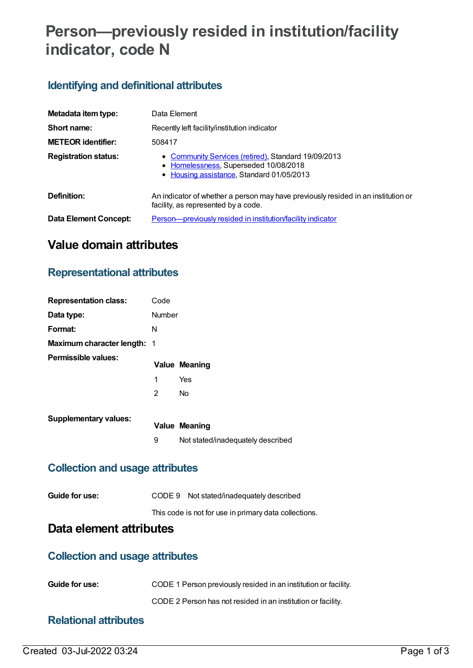# **Person—previously resided in institution/facility indicator, code N**

# **Identifying and definitional attributes**

| Metadata item type:          | Data Element                                                                                                                              |
|------------------------------|-------------------------------------------------------------------------------------------------------------------------------------------|
| Short name:                  | Recently left facility/institution indicator                                                                                              |
| <b>METEOR identifier:</b>    | 508417                                                                                                                                    |
| <b>Registration status:</b>  | • Community Services (retired), Standard 19/09/2013<br>• Homelessness, Superseded 10/08/2018<br>• Housing assistance, Standard 01/05/2013 |
| Definition:                  | An indicator of whether a person may have previously resided in an institution or<br>facility, as represented by a code.                  |
| <b>Data Element Concept:</b> | Person-previously resided in institution/facility indicator                                                                               |

# **Value domain attributes**

## **Representational attributes**

| <b>Representation class:</b>       | Code          |                                   |
|------------------------------------|---------------|-----------------------------------|
| Data type:                         | <b>Number</b> |                                   |
| Format:                            | N             |                                   |
| <b>Maximum character length: 1</b> |               |                                   |
| Permissible values:                |               | <b>Value Meaning</b>              |
|                                    | 1             | Yes                               |
|                                    | 2             | <b>No</b>                         |
| <b>Supplementary values:</b>       |               |                                   |
|                                    |               | <b>Value Meaning</b>              |
|                                    | 9             | Not stated/inadequately described |

## **Collection and usage attributes**

| Guide for use: | CODE 9 Not stated/inadequately described              |
|----------------|-------------------------------------------------------|
|                | This code is not for use in primary data collections. |

# **Data element attributes**

#### **Collection and usage attributes**

| <b>Guide for use:</b> | CODE 1 Person previously resided in an institution or facility. |
|-----------------------|-----------------------------------------------------------------|
|                       | CODE 2 Person has not resided in an institution or facility.    |

## **Relational attributes**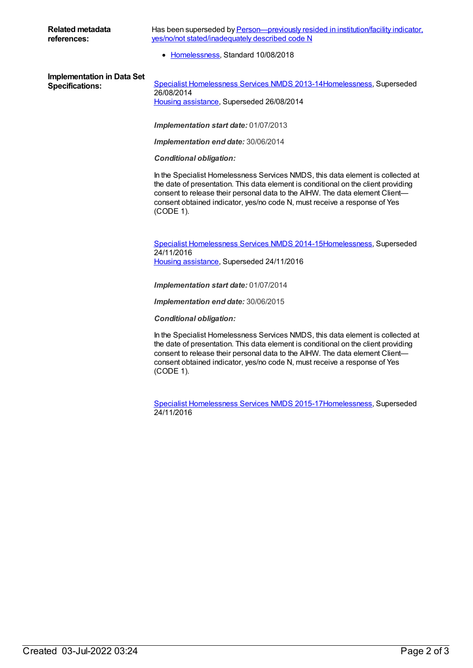Has been superseded by **Person**-previously resided in institution/facility indicator, yes/no/not stated/inadequately described code N

• [Homelessness](https://meteor.aihw.gov.au/RegistrationAuthority/14), Standard 10/08/2018

**Implementation in Data Set**

Specifications: Specialist [Homelessness](https://meteor.aihw.gov.au/content/505626) Services NMDS 2013-1[4Homelessness](https://meteor.aihw.gov.au/RegistrationAuthority/14), Superseded 26/08/2014 Housing [assistance](https://meteor.aihw.gov.au/RegistrationAuthority/11), Superseded 26/08/2014

*Implementation start date:* 01/07/2013

*Implementation end date:* 30/06/2014

*Conditional obligation:*

In the Specialist Homelessness Services NMDS, this data element is collected at the date of presentation. This data element is conditional on the client providing consent to release their personal data to the AIHW. The data element Client consent obtained indicator, yes/no code N, must receive a response of Yes (CODE 1).

Specialist [Homelessness](https://meteor.aihw.gov.au/content/581255) Services NMDS 2014-1[5Homelessness](https://meteor.aihw.gov.au/RegistrationAuthority/14), Superseded 24/11/2016 Housing [assistance](https://meteor.aihw.gov.au/RegistrationAuthority/11), Superseded 24/11/2016

*Implementation start date:* 01/07/2014

*Implementation end date:* 30/06/2015

*Conditional obligation:*

In the Specialist Homelessness Services NMDS, this data element is collected at the date of presentation. This data element is conditional on the client providing consent to release their personal data to the AIHW. The data element Client consent obtained indicator, yes/no code N, must receive a response of Yes (CODE 1).

Specialist [Homelessness](https://meteor.aihw.gov.au/content/658005) Services NMDS 2015-1[7Homelessness](https://meteor.aihw.gov.au/RegistrationAuthority/14), Superseded 24/11/2016